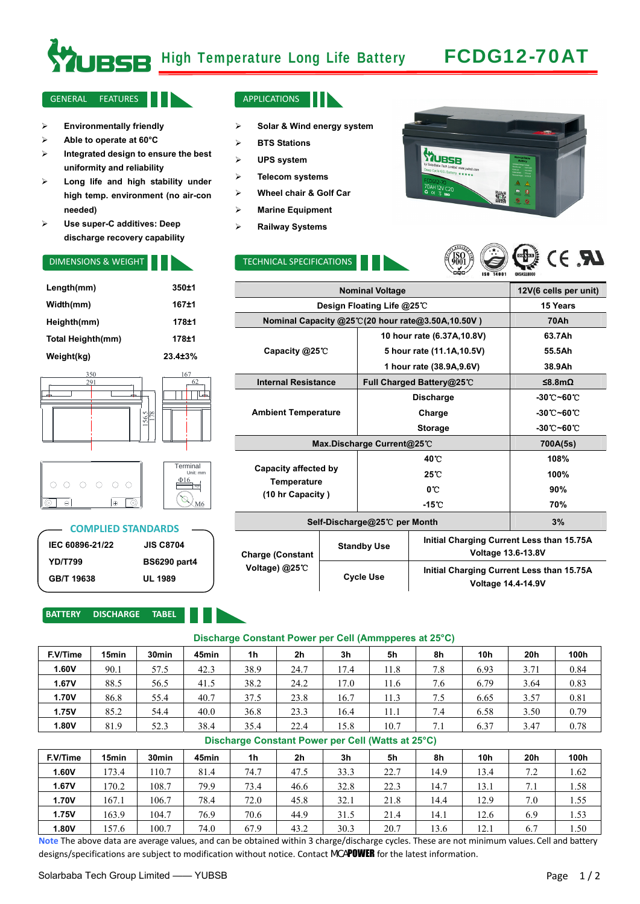# **RGB** High Temperature Long Life Battery FCDG12-70AT

#### GENERAL FEATURES **APPLICATIONS**

- ¾ **Environmentally friendly**
- ¾ **Able to operate at 60°C**
- ¾ **Integrated design to ensure the best uniformity and reliability**
- ¾ **Long life and high stability under high temp. environment (no air-con needed)**
- ¾ **Use super-C additives: Deep discharge recovery capability**

| Length(mm)        | 350±1          |
|-------------------|----------------|
| Width(mm)         | $167 + 1$      |
| Heighth(mm)       | 178±1          |
| Total Heighth(mm) | 178±1          |
| Weight(kg)        | $23.4 \pm 3\%$ |



| O O | $\cap$ | $\bigcap$ | ∩ | ⊖ | Terminal<br>Unit: m<br>Ψ10 |
|-----|--------|-----------|---|---|----------------------------|
|     |        |           |   |   |                            |

### **COMPLIED STANDARDS**

M6

| IEC 60896-21/22 | <b>JIS C8704</b>    |
|-----------------|---------------------|
| <b>YD/T799</b>  | <b>BS6290 part4</b> |
| GB/T 19638      | <b>UL 1989</b>      |

#### **BATTERY DISCHARGE TABEL**



- ¾ **Solar & Wind energy system**
- ¾ **BTS Stations**
- ¾ **UPS system**
- ¾ **Telecom systems**
- ¾ **Wheel chair & Golf Car**
- ¾ **Marine Equipment**
- ¾ **Railway Systems**

Γ

#### DIMENSIONS & WEIGHT **TECHNICAL SPECIFICATIONS**





**Voltage 14.4-14.9V** 

|                                                   | 12V(6 cells per unit)        |                    |                                                                        |                             |  |  |
|---------------------------------------------------|------------------------------|--------------------|------------------------------------------------------------------------|-----------------------------|--|--|
| Design Floating Life @25℃                         | 15 Years                     |                    |                                                                        |                             |  |  |
| Nominal Capacity @25°C(20 hour rate@3.50A,10.50V) | <b>70Ah</b>                  |                    |                                                                        |                             |  |  |
|                                                   |                              |                    | 10 hour rate (6.37A, 10.8V)                                            | 63.7Ah                      |  |  |
| Capacity @25°C                                    |                              |                    | 5 hour rate (11.1A, 10.5V)                                             | 55.5Ah                      |  |  |
|                                                   |                              |                    | 1 hour rate (38.9A, 9.6V)                                              | 38.9Ah                      |  |  |
| <b>Internal Resistance</b>                        |                              |                    | Full Charged Battery@25℃                                               | ≤8.8mΩ                      |  |  |
|                                                   |                              |                    | <b>Discharge</b>                                                       | $-30^\circ$ C $-60^\circ$ C |  |  |
| <b>Ambient Temperature</b>                        |                              |                    | Charge                                                                 | $-30^\circ$ C $-60^\circ$ C |  |  |
|                                                   |                              |                    | <b>Storage</b>                                                         | $-30^\circ$ C $-60^\circ$ C |  |  |
| Max.Discharge Current@25°C                        | 700A(5s)                     |                    |                                                                        |                             |  |  |
|                                                   |                              |                    | 40 C                                                                   | 108%                        |  |  |
| Capacity affected by                              |                              |                    | 25 C                                                                   | 100%                        |  |  |
| Temperature<br>(10 hr Capacity)                   |                              |                    | 0°C                                                                    | 90%                         |  |  |
|                                                   |                              |                    | $-15^{\circ}$ C                                                        | 70%                         |  |  |
|                                                   | Self-Discharge@25℃ per Month | 3%                 |                                                                        |                             |  |  |
| <b>Charge (Constant</b>                           |                              | <b>Standby Use</b> | Initial Charging Current Less than 15.75A<br><b>Voltage 13.6-13.8V</b> |                             |  |  |
| Voltage) $@25^\circ$ C                            |                              | <b>Cycle Use</b>   | Initial Charging Current Less than 15.75A                              |                             |  |  |

#### **Discharge Constant Power per Cell (Ammpperes at 25°C)**

| F.V/Time | 15min | 30 <sub>min</sub> | 45min | 1 <sub>h</sub> | 2 <sub>h</sub> | 3h   | 5h   | 8h                              | 10 <sub>h</sub> | 20h  | 100h |
|----------|-------|-------------------|-------|----------------|----------------|------|------|---------------------------------|-----------------|------|------|
| 1.60V    | 90.1  | 57.5              | 42.3  | 38.9           | 24.7           | 17.4 | 11.8 | 7.8                             | 6.93            | 3.71 | 0.84 |
| 1.67V    | 88.5  | 56.5              | 41.5  | 38.2           | 24.2           | 17.0 | 11.6 | 7.6                             | 6.79            | 3.64 | 0.83 |
| 1.70V    | 86.8  | 55.4              | 40.7  | 37.5           | 23.8           | 16.7 | 11.3 | 7.5                             | 6.65            | 3.57 | 0.81 |
| 1.75V    | 85.2  | 54.4              | 40.0  | 36.8           | 23.3           | 16.4 | 11.1 | 7.4                             | 6.58            | 3.50 | 0.79 |
| 1.80V    | 81.9  | 52.3              | 38.4  | 35.4           | 22.4           | 15.8 | 10.7 | $\mathbf{r}$<br>$^{\prime}$ . 1 | 6.37            | 3.47 | 0.78 |

### **Discharge Constant Power per Cell (Watts at 25°C)**

| F.V/Time | 15min | 30 <sub>min</sub> | 45min | 1h   | 2 <sub>h</sub> | 3h   | 5h   | 8h   | 10 <sub>h</sub> | 20h | 100h |
|----------|-------|-------------------|-------|------|----------------|------|------|------|-----------------|-----|------|
| 1.60V    | 173.4 | 110.7             | 81.4  | 74.7 | 47.5           | 33.3 | 22.7 | 14.9 | 13.4            | 7.2 | 1.62 |
| 1.67V    | 170.2 | 108.7             | 79.9  | 73.4 | 46.6           | 32.8 | 22.3 | 14.7 | 13.1            | 7.1 | 1.58 |
| 1.70V    | 167.1 | 106.7             | 78.4  | 72.0 | 45.8           | 32.1 | 21.8 | 14.4 | 12.9            | 7.0 | 1.55 |
| 1.75V    | 163.9 | 104.7             | 76.9  | 70.6 | 44.9           | 31.5 | 21.4 | 14.1 | 12.6            | 6.9 | 1.53 |
| 1.80V    | 157.6 | 100.7             | 74.0  | 67.9 | 43.2           | 30.3 | 20.7 | 13.6 | 12.1            | 6.7 | 1.50 |

**Note** The above data are average values, and can be obtained within 3 charge/discharge cycles. These are not minimum values. Cell and battery designs/specifications are subject to modification without notice. Contact MCAPOWER for the latest information.